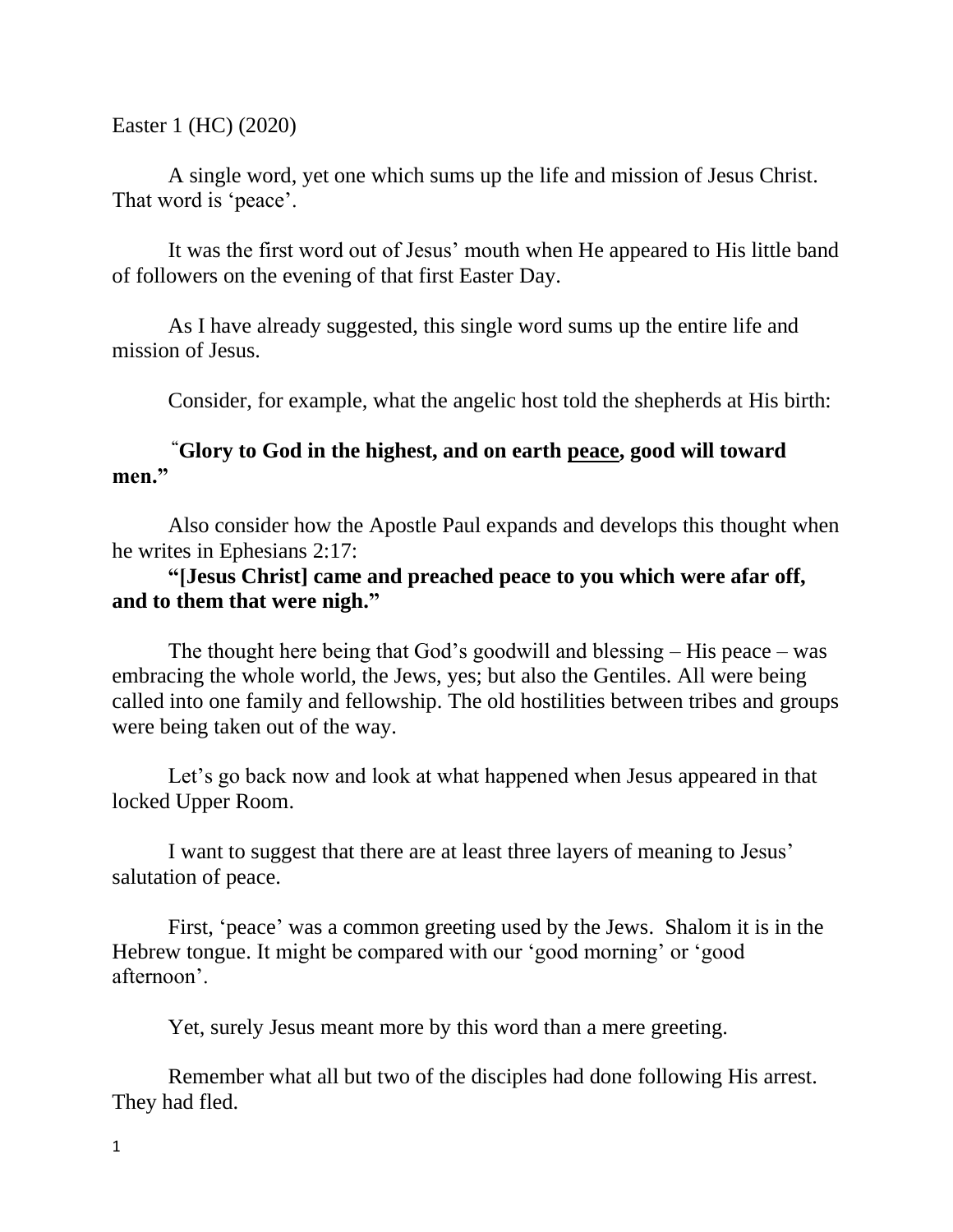Easter 1 (HC) (2020)

A single word, yet one which sums up the life and mission of Jesus Christ. That word is 'peace'.

It was the first word out of Jesus' mouth when He appeared to His little band of followers on the evening of that first Easter Day.

As I have already suggested, this single word sums up the entire life and mission of Jesus.

Consider, for example, what the angelic host told the shepherds at His birth:

## **"Glory to God in the highest, and on earth peace, good will toward men."**

Also consider how the Apostle Paul expands and develops this thought when he writes in Ephesians 2:17:

## **"[Jesus Christ] came and preached peace to you which were afar off, and to them that were nigh."**

The thought here being that God's goodwill and blessing – His peace – was embracing the whole world, the Jews, yes; but also the Gentiles. All were being called into one family and fellowship. The old hostilities between tribes and groups were being taken out of the way.

Let's go back now and look at what happened when Jesus appeared in that locked Upper Room.

I want to suggest that there are at least three layers of meaning to Jesus' salutation of peace.

First, 'peace' was a common greeting used by the Jews. Shalom it is in the Hebrew tongue. It might be compared with our 'good morning' or 'good afternoon'.

Yet, surely Jesus meant more by this word than a mere greeting.

Remember what all but two of the disciples had done following His arrest. They had fled.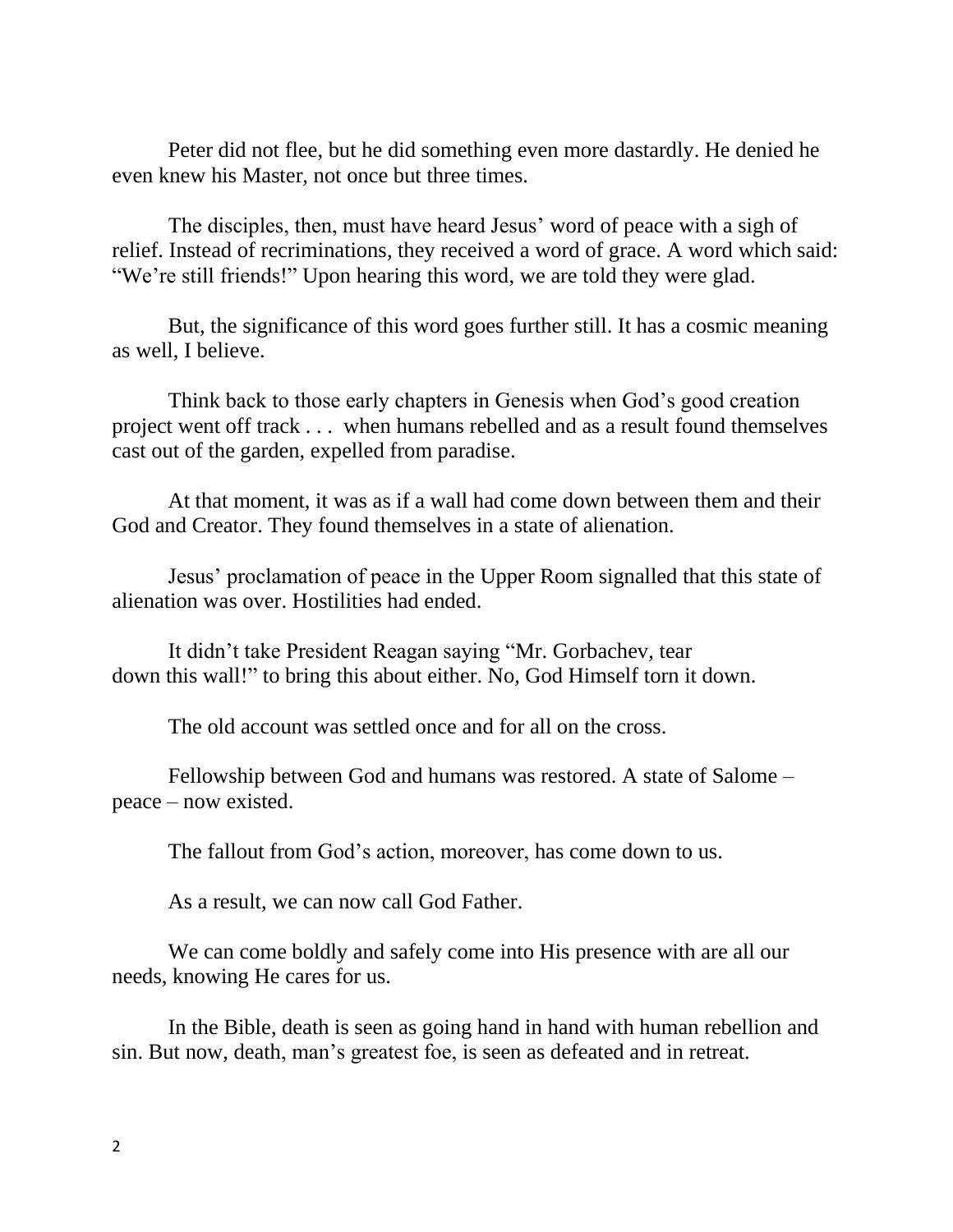Peter did not flee, but he did something even more dastardly. He denied he even knew his Master, not once but three times.

The disciples, then, must have heard Jesus' word of peace with a sigh of relief. Instead of recriminations, they received a word of grace. A word which said: "We're still friends!" Upon hearing this word, we are told they were glad.

But, the significance of this word goes further still. It has a cosmic meaning as well, I believe.

Think back to those early chapters in Genesis when God's good creation project went off track . . . when humans rebelled and as a result found themselves cast out of the garden, expelled from paradise.

At that moment, it was as if a wall had come down between them and their God and Creator. They found themselves in a state of alienation.

Jesus' proclamation of peace in the Upper Room signalled that this state of alienation was over. Hostilities had ended.

It didn't take President Reagan saying "Mr. Gorbachev, tear down this wall!" to bring this about either. No, God Himself torn it down.

The old account was settled once and for all on the cross.

Fellowship between God and humans was restored. A state of Salome – peace – now existed.

The fallout from God's action, moreover, has come down to us.

As a result, we can now call God Father.

We can come boldly and safely come into His presence with are all our needs, knowing He cares for us.

In the Bible, death is seen as going hand in hand with human rebellion and sin. But now, death, man's greatest foe, is seen as defeated and in retreat.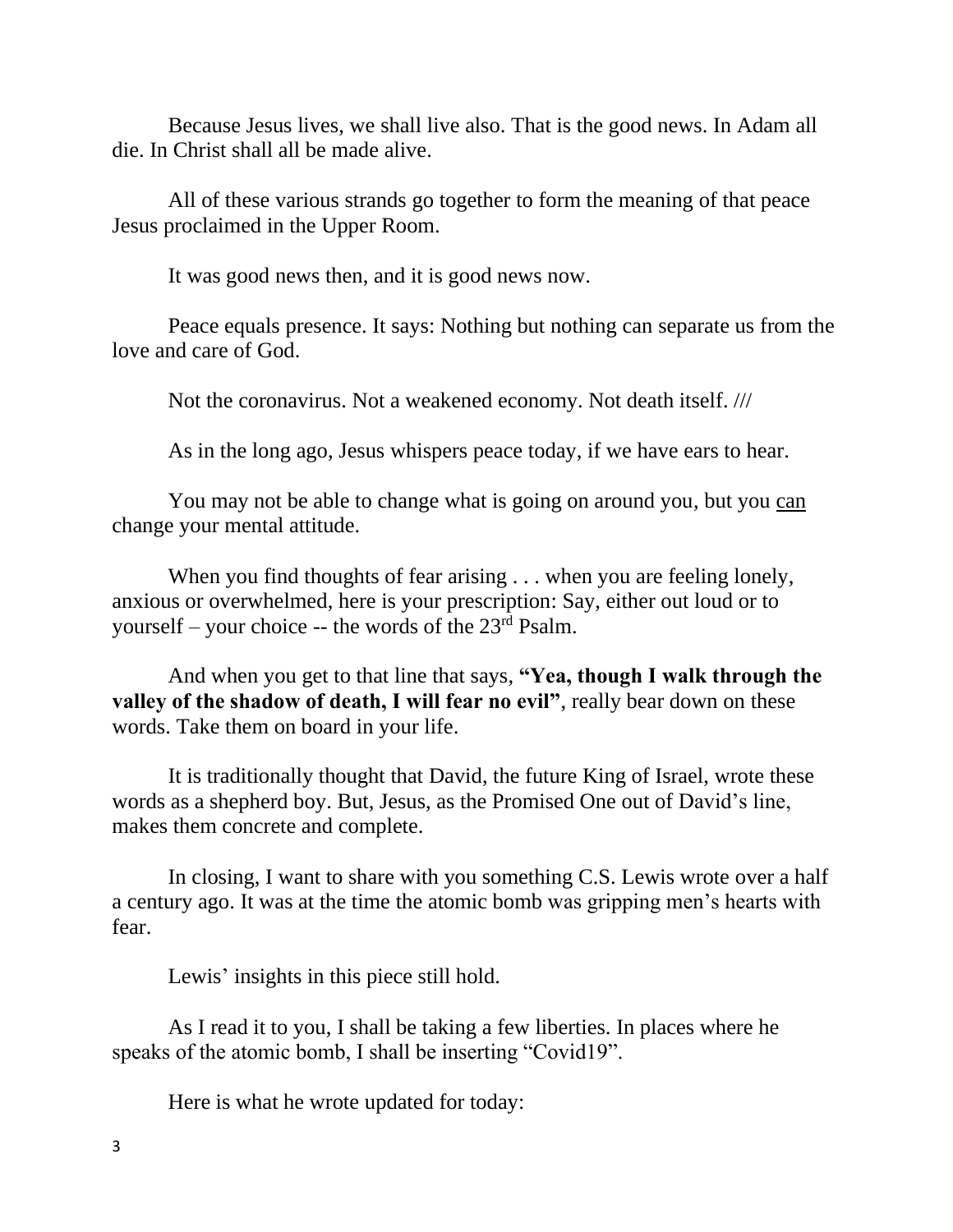Because Jesus lives, we shall live also. That is the good news. In Adam all die. In Christ shall all be made alive.

All of these various strands go together to form the meaning of that peace Jesus proclaimed in the Upper Room.

It was good news then, and it is good news now.

Peace equals presence. It says: Nothing but nothing can separate us from the love and care of God.

Not the coronavirus. Not a weakened economy. Not death itself. ///

As in the long ago, Jesus whispers peace today, if we have ears to hear.

You may not be able to change what is going on around you, but you can change your mental attitude.

When you find thoughts of fear arising . . . when you are feeling lonely, anxious or overwhelmed, here is your prescription: Say, either out loud or to yourself – your choice  $-$  the words of the  $23<sup>rd</sup>$  Psalm.

And when you get to that line that says, **"Yea, though I walk through the valley of the shadow of death, I will fear no evil"**, really bear down on these words. Take them on board in your life.

It is traditionally thought that David, the future King of Israel, wrote these words as a shepherd boy. But, Jesus, as the Promised One out of David's line, makes them concrete and complete.

In closing, I want to share with you something C.S. Lewis wrote over a half a century ago. It was at the time the atomic bomb was gripping men's hearts with fear.

Lewis' insights in this piece still hold.

As I read it to you, I shall be taking a few liberties. In places where he speaks of the atomic bomb, I shall be inserting "Covid19".

Here is what he wrote updated for today: